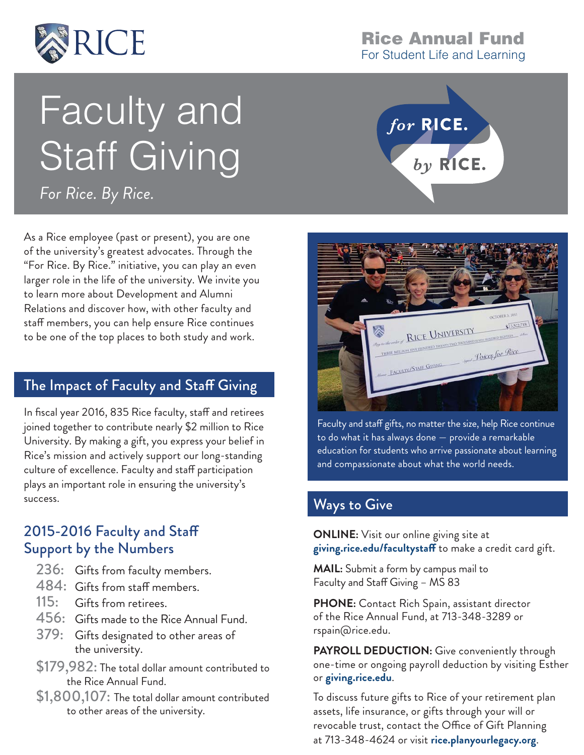

# Faculty and Staff Giving

*For Rice. By Rice.*

As a Rice employee (past or present), you are one of the university's greatest advocates. Through the "For Rice. By Rice." initiative, you can play an even larger role in the life of the university. We invite you to learn more about Development and Alumni Relations and discover how, with other faculty and staff members, you can help ensure Rice continues to be one of the top places to both study and work.

## The Impact of Faculty and Staff Giving

In fiscal year 2016, 835 Rice faculty, staff and retirees joined together to contribute nearly \$2 million to Rice University. By making a gift, you express your belief in Rice's mission and actively support our long-standing culture of excellence. Faculty and staff participation plays an important role in ensuring the university's success.

## 2015-2016 Faculty and Staff Support by the Numbers

- $236:$  Gifts from faculty members.
- 484: Gifts from staff members.
- Gifts from retirees.  $115:$
- $456:~$  Gifts made to the Rice Annual Fund.
- 379: Gifts designated to other areas of the university.
- \$179,982: The total dollar amount contributed to the Rice Annual Fund.
- \$1,800,107: The total dollar amount contributed to other areas of the university.

#### **Rice Annual Fund**  For Student Life and Learning





Faculty and staff gifts, no matter the size, help Rice continue to do what it has always done — provide a remarkable education for students who arrive passionate about learning and compassionate about what the world needs.

# Ways to Give

**ONLINE:** Visit our online giving site at **giving.rice.edu/facultystaff** to make a credit card gift.

**MAIL:** Submit a form by campus mail to Faculty and Staff Giving – MS 83

**PHONE:** Contact Rich Spain, assistant director of the Rice Annual Fund, at 713-348-3289 or rspain@rice.edu.

**PAYROLL DEDUCTION:** Give conveniently through one-time or ongoing payroll deduction by visiting Esther or **giving.rice.edu**.

To discuss future gifts to Rice of your retirement plan assets, life insurance, or gifts through your will or revocable trust, contact the Office of Gift Planning at 713-348-4624 or visit **rice.planyourlegacy.org**.